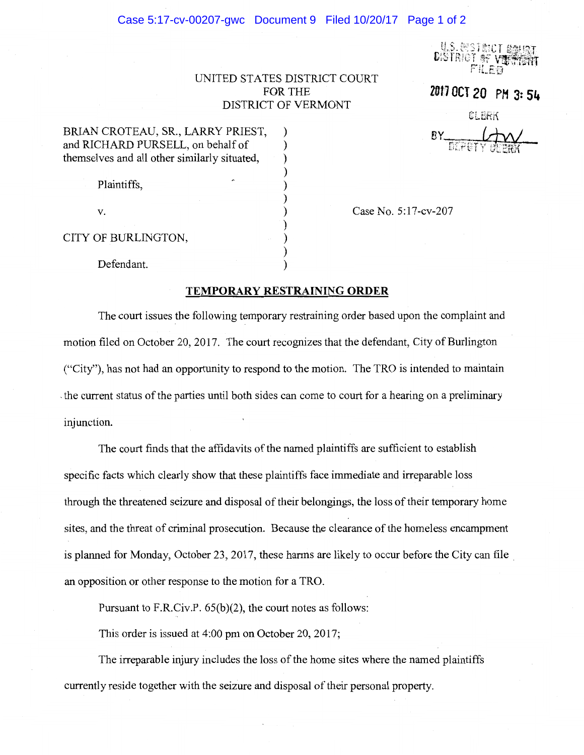## Case 5:17-cv-00207-gwc Document 9 Filed 10/20/17 Page 1 of 2

**U.S. ENSTRICT**<br>DISTRICT OF VI

## UNITED STATES DISTRICT COURT FOR THE **1#11 OCT 20 PH 3: 54**  DISTRICT OF VERMONT

CLGRr\

 $BY$ 

| BRIAN CROTEAU, SR., LARRY PRIEST,            |  |
|----------------------------------------------|--|
| and RICHARD PURSELL, on behalf of            |  |
| themselves and all other similarly situated, |  |
|                                              |  |
| Plaintiffs,                                  |  |
|                                              |  |
| V.                                           |  |
|                                              |  |
| CITY OF BURLINGTON,                          |  |

Case No. 5:17-cv-207

Defendant.

## **TEMPORARY RESTRAINING ORDER**

)

The court issues the following temporary restraining order based upon the complaint and motion filed on October 20, 2017. The court recognizes that the defendant, City of Burlington ("City"), has not had an opportunity to respond to the motion. The TRO is intended to maintain , the current status of the parties until both sides can come to court for a hearing on a preliminary injunction.

The court finds that the affidavits of the named plaintiffs are sufficient to establish specific facts which clearly show that these plaintiffs face immediate and irreparable loss through the threatened seizure and disposal of their belongings, the loss of their temporary home sites, and the threat of criminal prosecution. Because the clearance of the homeless encampment is planned for Monday, October 23, 2017, these harms are likely to occur before the City can file . an opposition or other response to the motion for a TRO.

Pursuant to F.R.Civ.P. 65(b)(2), the court notes as follows:

This order is issued at  $4:00$  pm on October 20, 2017;

The irreparable injury includes the loss of the home sites where the named plaintiffs currently reside together with the seizure and disposal of their personal property.